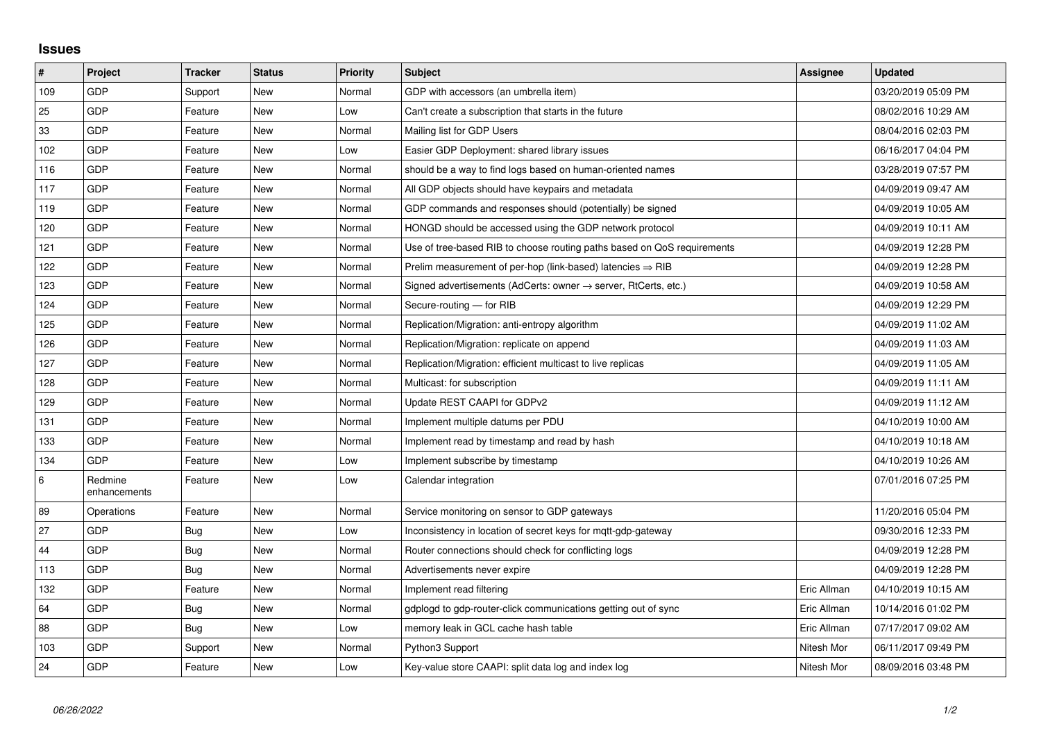## **Issues**

| #       | Project                 | <b>Tracker</b> | <b>Status</b> | Priority | <b>Subject</b>                                                          | Assignee    | <b>Updated</b>      |
|---------|-------------------------|----------------|---------------|----------|-------------------------------------------------------------------------|-------------|---------------------|
| 109     | GDP                     | Support        | <b>New</b>    | Normal   | GDP with accessors (an umbrella item)                                   |             | 03/20/2019 05:09 PM |
| 25      | <b>GDP</b>              | Feature        | <b>New</b>    | Low      | Can't create a subscription that starts in the future                   |             | 08/02/2016 10:29 AM |
| 33      | <b>GDP</b>              | Feature        | <b>New</b>    | Normal   | Mailing list for GDP Users                                              |             | 08/04/2016 02:03 PM |
| 102     | <b>GDP</b>              | Feature        | <b>New</b>    | Low      | Easier GDP Deployment: shared library issues                            |             | 06/16/2017 04:04 PM |
| 116     | GDP                     | Feature        | <b>New</b>    | Normal   | should be a way to find logs based on human-oriented names              |             | 03/28/2019 07:57 PM |
| 117     | <b>GDP</b>              | Feature        | <b>New</b>    | Normal   | All GDP objects should have keypairs and metadata                       |             | 04/09/2019 09:47 AM |
| 119     | GDP                     | Feature        | <b>New</b>    | Normal   | GDP commands and responses should (potentially) be signed               |             | 04/09/2019 10:05 AM |
| 120     | GDP                     | Feature        | <b>New</b>    | Normal   | HONGD should be accessed using the GDP network protocol                 |             | 04/09/2019 10:11 AM |
| 121     | GDP                     | Feature        | <b>New</b>    | Normal   | Use of tree-based RIB to choose routing paths based on QoS requirements |             | 04/09/2019 12:28 PM |
| 122     | <b>GDP</b>              | Feature        | New           | Normal   | Prelim measurement of per-hop (link-based) latencies $\Rightarrow$ RIB  |             | 04/09/2019 12:28 PM |
| 123     | GDP                     | Feature        | New           | Normal   | Signed advertisements (AdCerts: owner → server, RtCerts, etc.)          |             | 04/09/2019 10:58 AM |
| 124     | GDP                     | Feature        | <b>New</b>    | Normal   | Secure-routing - for RIB                                                |             | 04/09/2019 12:29 PM |
| 125     | GDP                     | Feature        | <b>New</b>    | Normal   | Replication/Migration: anti-entropy algorithm                           |             | 04/09/2019 11:02 AM |
| 126     | <b>GDP</b>              | Feature        | <b>New</b>    | Normal   | Replication/Migration: replicate on append                              |             | 04/09/2019 11:03 AM |
| 127     | <b>GDP</b>              | Feature        | <b>New</b>    | Normal   | Replication/Migration: efficient multicast to live replicas             |             | 04/09/2019 11:05 AM |
| 128     | GDP                     | Feature        | <b>New</b>    | Normal   | Multicast: for subscription                                             |             | 04/09/2019 11:11 AM |
| 129     | <b>GDP</b>              | Feature        | <b>New</b>    | Normal   | Update REST CAAPI for GDPv2                                             |             | 04/09/2019 11:12 AM |
| 131     | <b>GDP</b>              | Feature        | <b>New</b>    | Normal   | Implement multiple datums per PDU                                       |             | 04/10/2019 10:00 AM |
| 133     | GDP                     | Feature        | <b>New</b>    | Normal   | Implement read by timestamp and read by hash                            |             | 04/10/2019 10:18 AM |
| 134     | <b>GDP</b>              | Feature        | <b>New</b>    | Low      | Implement subscribe by timestamp                                        |             | 04/10/2019 10:26 AM |
| $\,6\,$ | Redmine<br>enhancements | Feature        | <b>New</b>    | Low      | Calendar integration                                                    |             | 07/01/2016 07:25 PM |
| 89      | Operations              | Feature        | <b>New</b>    | Normal   | Service monitoring on sensor to GDP gateways                            |             | 11/20/2016 05:04 PM |
| 27      | GDP                     | Bug            | <b>New</b>    | Low      | Inconsistency in location of secret keys for mgtt-gdp-gateway           |             | 09/30/2016 12:33 PM |
| 44      | GDP                     | Bug            | <b>New</b>    | Normal   | Router connections should check for conflicting logs                    |             | 04/09/2019 12:28 PM |
| 113     | <b>GDP</b>              | Bug            | <b>New</b>    | Normal   | Advertisements never expire                                             |             | 04/09/2019 12:28 PM |
| 132     | <b>GDP</b>              | Feature        | <b>New</b>    | Normal   | Implement read filtering                                                | Eric Allman | 04/10/2019 10:15 AM |
| 64      | GDP                     | <b>Bug</b>     | <b>New</b>    | Normal   | gdplogd to gdp-router-click communications getting out of sync          | Eric Allman | 10/14/2016 01:02 PM |
| 88      | GDP                     | Bug            | <b>New</b>    | Low      | memory leak in GCL cache hash table                                     | Eric Allman | 07/17/2017 09:02 AM |
| 103     | <b>GDP</b>              | Support        | <b>New</b>    | Normal   | Python3 Support                                                         | Nitesh Mor  | 06/11/2017 09:49 PM |
| 24      | GDP                     | Feature        | <b>New</b>    | Low      | Key-value store CAAPI: split data log and index log                     | Nitesh Mor  | 08/09/2016 03:48 PM |